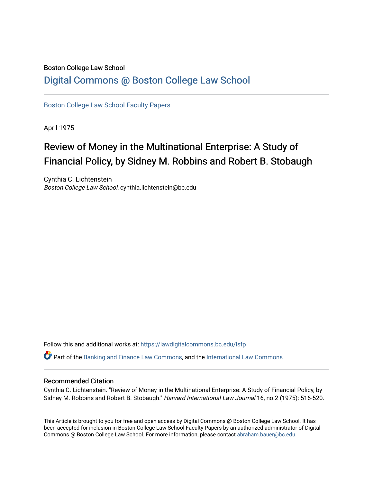## Boston College Law School [Digital Commons @ Boston College Law School](https://lawdigitalcommons.bc.edu/)

[Boston College Law School Faculty Papers](https://lawdigitalcommons.bc.edu/lsfp) 

April 1975

## Review of Money in the Multinational Enterprise: A Study of Financial Policy, by Sidney M. Robbins and Robert B. Stobaugh

Cynthia C. Lichtenstein Boston College Law School, cynthia.lichtenstein@bc.edu

Follow this and additional works at: [https://lawdigitalcommons.bc.edu/lsfp](https://lawdigitalcommons.bc.edu/lsfp?utm_source=lawdigitalcommons.bc.edu%2Flsfp%2F832&utm_medium=PDF&utm_campaign=PDFCoverPages) 

Part of the [Banking and Finance Law Commons,](http://network.bepress.com/hgg/discipline/833?utm_source=lawdigitalcommons.bc.edu%2Flsfp%2F832&utm_medium=PDF&utm_campaign=PDFCoverPages) and the [International Law Commons](http://network.bepress.com/hgg/discipline/609?utm_source=lawdigitalcommons.bc.edu%2Flsfp%2F832&utm_medium=PDF&utm_campaign=PDFCoverPages)

## Recommended Citation

Cynthia C. Lichtenstein. "Review of Money in the Multinational Enterprise: A Study of Financial Policy, by Sidney M. Robbins and Robert B. Stobaugh." Harvard International Law Journal 16, no.2 (1975): 516-520.

This Article is brought to you for free and open access by Digital Commons @ Boston College Law School. It has been accepted for inclusion in Boston College Law School Faculty Papers by an authorized administrator of Digital Commons @ Boston College Law School. For more information, please contact [abraham.bauer@bc.edu.](mailto:abraham.bauer@bc.edu)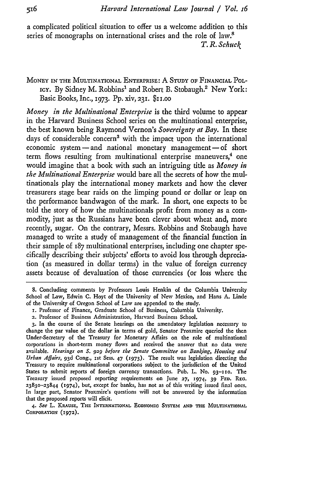a complicated political situation to offer us a welcome addition to this series of monographs on international crises and the role of law.<sup>8</sup> *T. R. Schuck*

MONEY *IN* THE MULTINATIONAL ENTERPRISE: A STUDY oF FINANCIAL POLicy. By Sidney M. Robbins' and Robert B. Stobaugh.2 New York: Basic Books, Inc., 1973. **Pp.** xiv, 23i. \$ii.oo

*Money in the Multinational Enterprise* is the third volume to appear in the Harvard Business School series on the multinational enterprise, the best known being Raymond Vernon's *Sovereignty at Bay.* In these days of considerable concern' with the impact upon the international economic system **-** and national monetary management **-** of short term flows resulting from multinational enterprise maneuvers, $4$  one would imagine that a book with such an intriguing title as *Money in the Multinational Enterprise* would bare all the secrets of how the multinationals play the international money markets and how the clever treasurers stage bear raids on the limping pound or dollar or leap on the performance bandwagon of the mark. In short, one expects to be told the story of how the multinationals profit from money as a commodity, just as the Russians have been clever about wheat and, more recently, sugar. On the contrary, Messrs. Robbins and Stobaugh have managed to write a study of management of the financial function in their sample of **187** multinational enterprises, including one chapter specifically describing their subjects' efforts to avoid loss through depreciation (as measured in dollar terms) in the value of foreign currency assets because of devaluation of those currencies (or loss where the

8. Concluding comments by Professors Louis Henkin of the Columbia University School of Law, Edwin **C.** Hoyt of the University of New Mexico, and Hans **A.** Linde of the University of Oregon School of Law are appended to the study.

4. *See* L. KRAUSE, **THE** INTERNATIONAL EcoNoMIc SySTEM **AND THE MULTINATIONAL CORPORATION (1972).**

<sup>1.</sup> Professor of Finance, Graduate School of Business, Columbia University.

<sup>2.</sup> Professor of Business Administration, Harvard Business School.

**<sup>3.</sup>** In the course of the Senate hearings on the amendatory legislation necessary to change the par value of the dollar in terms of gold, Senator Proxmire queried the then Under-Secretary of the Treasury for Monetary Affairs on the role of multinational corporations in short-term money flows and received the answer that no data were available. *Hearings on S.* 929 *before the Senate Committee on BanAing, Housing and Urban Aflairs,* **93d** Cong., **Ist** Sess. 47 (1973). The result was legislation directing the Treasury to require multinational corporations subject to the jurisdiction of the United States to submit reports of foreign currency transactions. Pub. L. No. 93-110. The Treasury issued proposed reporting requirements on June **27,** 1974, 39 **FED.** REO.  $23830 - 23844$  (1974), but, except for banks, has not as of this writing issued final ones. In large part, Senator Proxmire's questions will not be answered by the information that the proposed reports will elicit.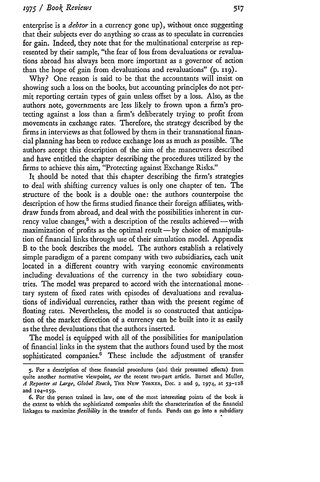enterprise is a *debtor* in a currency gone up), without once suggesting that their subjects ever do anything so crass as to speculate in currencies for gain. Indeed, they note that for the multinational enterprise as represented by their sample, "the fear of loss from devaluations or revaluations abroad has always been more important as a governor of action than the hope of gain from devaluations and revaluations" (p. 119).

Why? One reason is said to be that the accountants will insist on showing such a loss on the books, but accounting principles do not permit reporting certain types of gain unless offset by a loss. Also, as the authors note, governments are less likely to frown upon a firm's protecting against a loss than a firm's deliberately trying to profit from movements in exchange rates. Therefore, the strategy described by the firms in interviews as that followed by them in their transnational financial planning has been to reduce exchange loss as much as possible. The authors accept this description of the aim of the maneuvers described and have entitled the chapter describing the procedures utilized by the firms to achieve this aim, "Protecting against Exchange Risks."

It should be noted that this chapter describing the firm's strategies to deal with shifting currency values is only one chapter of ten. The structure of the book is a double one: the authors counterpoise the description of how the firms studied finance their foreign affiliates, withdraw funds from abroad, and deal with the possibilities inherent in currency value changes,<sup>5</sup> with a description of the results achieved -- with maximization of profits as the optimal result - by choice of manipulation of financial links through use of their simulation model. Appendix B to the book describes the model. The authors establish a relatively simple paradigm of a parent company with two subsidiaries, each unit located in a different country with varying economic environments including devaluations of the currency in the two subsidiary countries. The model was prepared to accord with the international monetary system of fixed rates with episodes of devaluations and revaluations of individual currencies, rather than with the present regime of floating rates. Nevertheless, the model is so constructed that anticipation of the market direction of a currency can be built into it as easily as the three devaluations that the authors inserted.

The model is equipped with all of the possibilities for manipulation of financial links in the system that the authors found used by the most sophisticated companies.<sup>6</sup> These include the adjustment of transfer

<sup>5.</sup> For a description of these financial procedures (and their presumed effects) from quite another normative viewpoint, *see* the recent two-part article. Barnet and Muller, *A Reporter at Large, Global Reach,* **THE** NEw YORKER, Dec. 2 and **9, 1974,** at 53-128 and **104-159.**

<sup>6.</sup> For the person trained in law, one of the most interesting points of the book is the extent to which the sophisticated companies shift the characterization of the financial linkages to maximize *flexibility* in the transfer of funds. Funds can go into a subsidiary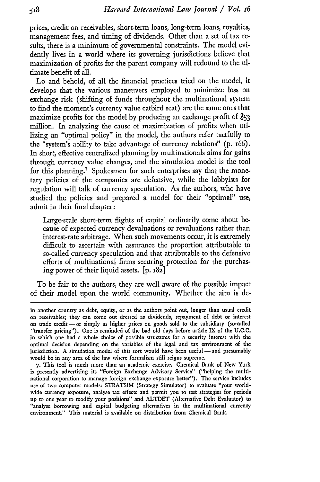prices, credit on receivables, short-term loans, long-term loans, royalties, management fees, and timing of dividends. Other than a set of tax results, there is a minimum of governmental constraints. The model evidendy lives in a world where its governing jurisdictions believe that maximization of profits for the parent company will redound to the ultimate benefit of all.

Lo and behold, of all the financial practices tried on the model, it develops that the various maneuvers employed to minimize loss on exchange risk (shifting of funds throughout the multinational system to find the moment's currency value catbird seat) are the same ones that maximize profits for the model by producing an exchange profit of *\$53* million. In analyzing the cause of maximization of profits when utilizing an "optimal policy" in the model, the authors refer tactfully to the "system's ability to take advantage of currency relations" **(p.** 166). In short, effective centralized planning by multinationals aims for gains through currency value changes, and the simulation model is the tool for this planning.<sup>7</sup> Spokesmen for such enterprises say that the monetary policies of the companies are defensive, while the lobbyists for regulation will talk of currency speculation. As the authors, who have studied the policies and prepared a model for their "optimal" use, admit in their final chapter:

Large-scale short-term flights of capital ordinarily come about because of expected currency devaluations or revaluations rather than interest-rate arbitrage. When such movements occur, it is extremely difficult to ascertain with assurance the proportion attributable to so-called currency speculation and that attributable to the defensive efforts of multinational firms securing protection for the purchasing power of their liquid assets. **[p.** 182]

To be fair to the authors, they are well aware of the possible impact of their model upon the world community. Whether the aim is de-

in another country as debt, equity, or as the authors point out, longer than usual credit on receivables; they can come out dressed as dividends, repayment of debt or interest on trade credit **-or** simply as higher prices on goods sold to the subsidiary (so-called "transfer pricing"). One is reminded of the bad old days before article IX of the U.C.C. in which one had a whole choice of possible structures for a security interest with the optimal decision depending on the variables of the legal and **tax** environment of the jurisdiction. A simulation model of this sort would have been useful - and presumably would be in any area of the law where formalism still reigns supreme.

**<sup>7.</sup>** This tool is much more than an academic exercise. Chemical Bank of New York is presently advertising its "Foreign Exchange Advisory Service" ("helping the multinational corporation to manage foreign exchange exposure better"). The service includes use of two computer models: STRATSIM (Strategy Simulator) to evaluate "your worldwide currency exposure, analyse **tax** effects and permit you to test strategies for periods up to one year to modify your positions" and ALTDET (Alternative Debt Evaluator) to "analyse borrowing and capital budgeting alternatives in the multinational currency environment." This material is available on distribution from Chemical Bank.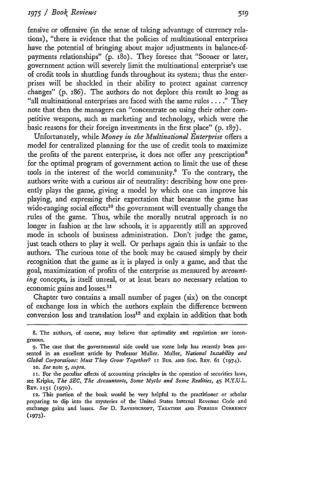fensive or offensive (in the sense of taking advantage of currency relations), "there is evidence that the policies of multinational enterprises have the potential of bringing about major adjustments in balance-ofpayments relationships" (p. i8o). They foresee that "Sooner or later, government action will severely limit the multinational enterprise's use of credit tools in shuttling funds throughout its system; thus the enterprises will be shackled in their ability to protect against currency changes" (p. i86). The authors do not deplore this result so long as "all multinational enterprises are faced with the same rules . .**."** They note that then the managers can "concentrate on using their other competitive weapons, such as marketing and technology, which were the basic reasons for their foreign investments in the first place" (p. **187).**

Unfortunately, while *Money in the Multinational Enterprise* offers a model for centralized planning for the use of credit tools to maximize the profits of the parent enterprise, it does not offer any prescription' for the optimal program of government action to limit the use of these tools in the interest of the world community.' To the contrary, the authors write with a curious air of neutrality: describing how one presently plays the game, giving a model by which one can improve his playing, and expressing their expectation that because the game has wide-ranging social effects<sup>10</sup> the government will eventually change the rules of the game. Thus, while the morally neutral approach is no longer in fashion at the law schools, it is apparently still an approved mode in schools of business administration. Don't judge the game, just teach others to play it well. Or perhaps again this is unfair to the authors. The curious tone of the book may be caused simply by their recognition that the game as it is played is only a game, and that the goal, maximization of profits of the enterprise as measured by *accounting* concepts, is itself unreal, or at least bears no necessary relation to economic gains and losses.<sup>11</sup>

Chapter two contains a small number of pages (six) on the concept of exchange loss in which the authors explain the difference between conversion loss and translation loss<sup>12</sup> and explain in addition that both

so. *See* note 5, *supra.*

<sup>8.</sup> The authors, of course, may believe that optimality and regulation are incongruous.

<sup>9.</sup> The case that the governmental side could use some help has recently been presented in an excellent article by Professor Muller. Muller, *National Instability and Global Corporations: Must They Grow Together?* II Bus. AND Soc. REV. 61 (1974).

II. For the peculiar effects of accounting principles in the operation of securities laws, see Kripke, *The SEC, The Accountants, Some Myths and Some Realities,* 45 N.Y.U.L. REv. **1151 (970).**

**<sup>12.</sup>** This portion of the book would be very helpful to the practitioner or scholar preparing to dip into the mysteries of the United States Internal Revenue Code and exchange gains and losses. *See* **D.** RAVENSCROFT, TAXATIoN **AND FOREIGN CURRENCY** (1973).